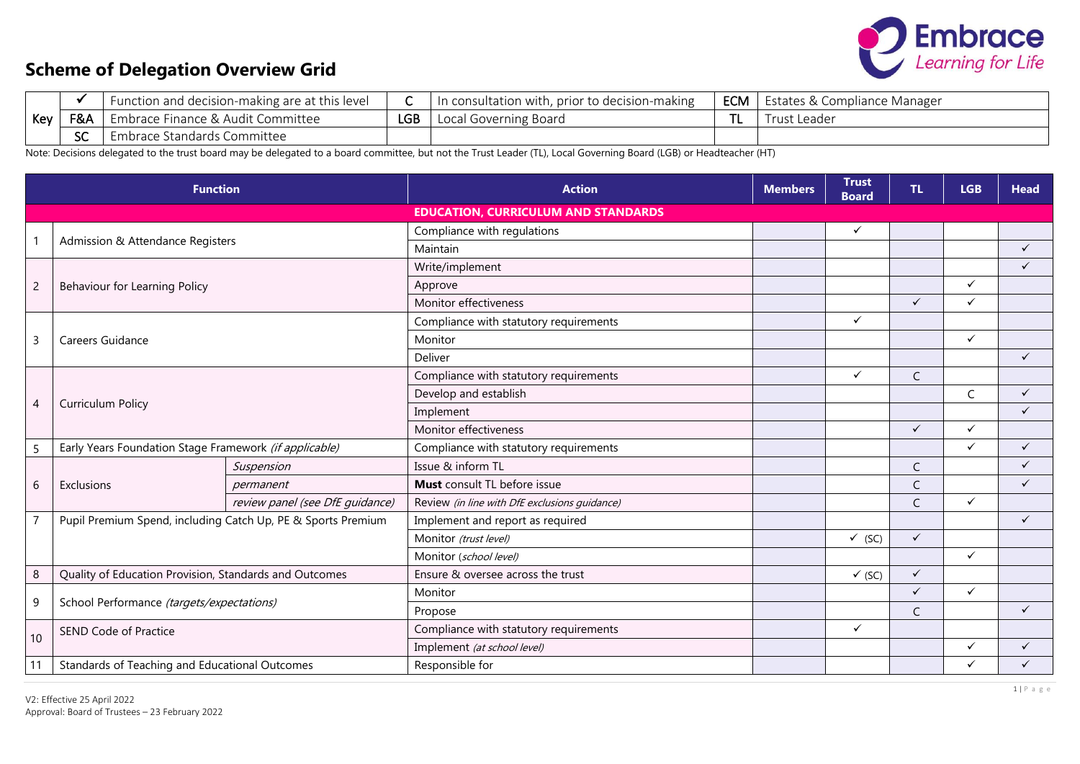

## **Scheme of Delegation Overview Grid**

| Key |                | I Function and decision-making are at this level | ◡   | n consultation with, prior to decision-making | <b>ECM</b> | Estates & Compliance Manager |
|-----|----------------|--------------------------------------------------|-----|-----------------------------------------------|------------|------------------------------|
|     | <b>F&amp;A</b> | Embrace Finance & Audit Committee                | LGB | Local Governing Board                         | $\sim$     | t Leader .                   |
|     | $\sim$<br>ے ت  | Embrace Standards Committee                      |     |                                               |            |                              |

Note: Decisions delegated to the trust board may be delegated to a board committee, but not the Trust Leader (TL), Local Governing Board (LGB) or Headteacher (HT)

|         | <b>Function</b>                                        |                                                              | <b>Action</b>                                 | <b>Members</b> | <b>Trust</b><br><b>Board</b> | TL.                                                                               | <b>LGB</b>   | <b>Head</b>  |  |  |  |
|---------|--------------------------------------------------------|--------------------------------------------------------------|-----------------------------------------------|----------------|------------------------------|-----------------------------------------------------------------------------------|--------------|--------------|--|--|--|
|         |                                                        |                                                              | <b>EDUCATION, CURRICULUM AND STANDARDS</b>    |                |                              |                                                                                   |              |              |  |  |  |
|         |                                                        |                                                              | Compliance with regulations                   |                | $\checkmark$                 |                                                                                   |              |              |  |  |  |
|         | Admission & Attendance Registers                       |                                                              | Maintain                                      |                |                              |                                                                                   |              | $\checkmark$ |  |  |  |
|         |                                                        |                                                              | Write/implement                               |                |                              |                                                                                   |              | $\checkmark$ |  |  |  |
| 2       | Behaviour for Learning Policy                          |                                                              | Approve                                       |                |                              |                                                                                   | $\checkmark$ |              |  |  |  |
|         |                                                        |                                                              | Monitor effectiveness                         |                |                              | $\checkmark$                                                                      | ✓            |              |  |  |  |
|         |                                                        |                                                              | Compliance with statutory requirements        |                | $\checkmark$                 |                                                                                   |              |              |  |  |  |
| 3       | Careers Guidance                                       |                                                              | Monitor                                       |                |                              |                                                                                   | $\checkmark$ |              |  |  |  |
|         |                                                        |                                                              | Deliver                                       |                |                              |                                                                                   |              | $\checkmark$ |  |  |  |
| 4       |                                                        |                                                              | Compliance with statutory requirements        |                | $\checkmark$                 | $\mathsf{C}$                                                                      |              |              |  |  |  |
|         |                                                        |                                                              | Develop and establish                         |                |                              |                                                                                   | C            | $\checkmark$ |  |  |  |
|         | <b>Curriculum Policy</b>                               |                                                              | Implement                                     |                |                              |                                                                                   |              | $\checkmark$ |  |  |  |
|         |                                                        |                                                              | Monitor effectiveness                         |                |                              | $\checkmark$                                                                      | $\checkmark$ |              |  |  |  |
| 5       | Early Years Foundation Stage Framework (if applicable) |                                                              | Compliance with statutory requirements        |                |                              |                                                                                   | ✓            | $\checkmark$ |  |  |  |
|         |                                                        | Suspension                                                   | Issue & inform TL                             |                |                              | C                                                                                 |              | $\checkmark$ |  |  |  |
| 6       | Exclusions                                             | permanent                                                    | Must consult TL before issue                  |                |                              | C                                                                                 |              | $\checkmark$ |  |  |  |
|         |                                                        | review panel (see DfE guidance)                              | Review (in line with DfE exclusions quidance) |                |                              | C<br>$\checkmark$<br>$\checkmark$<br>$\checkmark$<br>$\mathsf{C}$<br>$\checkmark$ | $\checkmark$ |              |  |  |  |
|         |                                                        | Pupil Premium Spend, including Catch Up, PE & Sports Premium | Implement and report as required              |                |                              |                                                                                   |              | $\checkmark$ |  |  |  |
|         |                                                        |                                                              | Monitor (trust level)                         |                | $\checkmark$ (SC)            |                                                                                   |              |              |  |  |  |
|         |                                                        |                                                              | Monitor (school level)                        |                |                              |                                                                                   | $\checkmark$ |              |  |  |  |
| $\,8\,$ | Quality of Education Provision, Standards and Outcomes |                                                              | Ensure & oversee across the trust             |                | $\checkmark$ (SC)            |                                                                                   |              |              |  |  |  |
|         |                                                        |                                                              | Monitor                                       |                |                              |                                                                                   | $\checkmark$ |              |  |  |  |
| 9       | School Performance (targets/expectations)              |                                                              | Propose                                       |                |                              |                                                                                   |              | $\checkmark$ |  |  |  |
|         | SEND Code of Practice                                  |                                                              | Compliance with statutory requirements        |                |                              |                                                                                   |              |              |  |  |  |
| 10      |                                                        |                                                              | Implement (at school level)                   |                |                              |                                                                                   | ✓            | ✓            |  |  |  |
| 11      | Standards of Teaching and Educational Outcomes         |                                                              | Responsible for                               |                |                              |                                                                                   |              |              |  |  |  |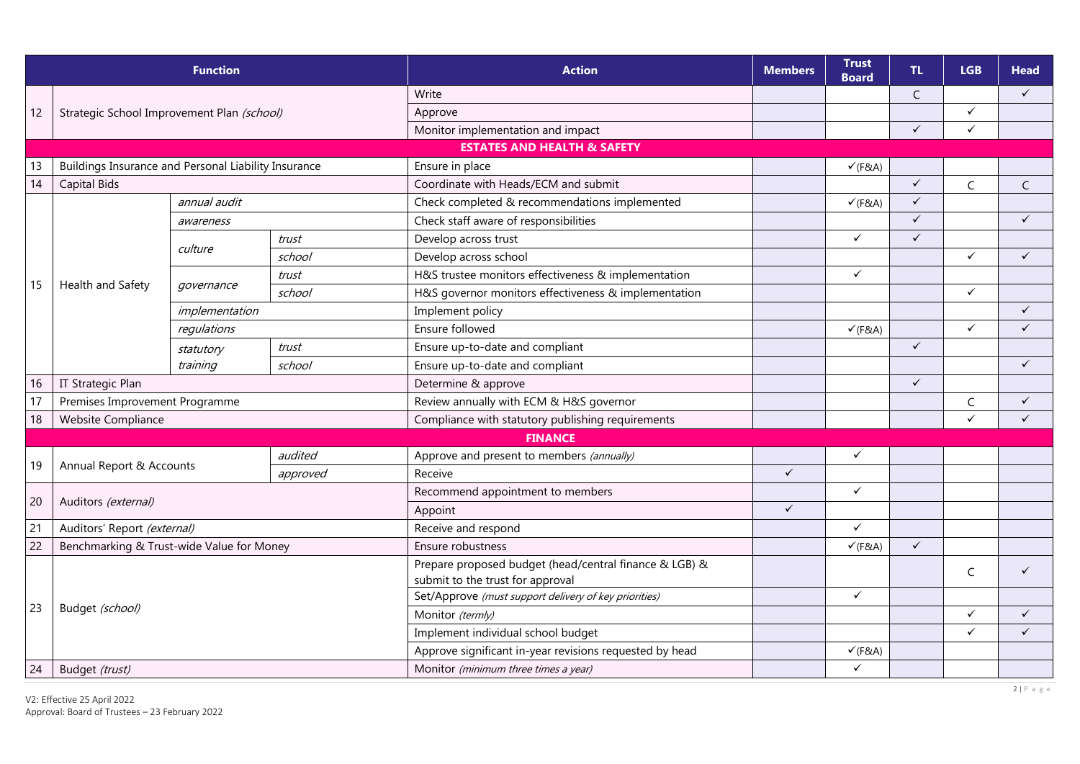|                |                                                      | <b>Function</b>                |          | <b>Action</b>                                           | <b>Members</b> | <b>Trust</b><br><b>Board</b> | TL.                                                                    | <b>LGB</b>             | <b>Head</b>  |
|----------------|------------------------------------------------------|--------------------------------|----------|---------------------------------------------------------|----------------|------------------------------|------------------------------------------------------------------------|------------------------|--------------|
|                |                                                      |                                |          | Write                                                   |                |                              | $\mathsf{C}$                                                           |                        | $\checkmark$ |
| 12             | Strategic School Improvement Plan (school)           |                                |          | Approve                                                 |                |                              |                                                                        | ✓                      |              |
|                |                                                      |                                |          | Monitor implementation and impact                       |                |                              | $\checkmark$                                                           | ✓                      |              |
|                |                                                      |                                |          | <b>ESTATES AND HEALTH &amp; SAFETY</b>                  |                |                              |                                                                        |                        |              |
| 13             | Buildings Insurance and Personal Liability Insurance |                                |          | Ensure in place                                         |                | $V$ (F&A)                    |                                                                        |                        |              |
| 14             | Capital Bids                                         |                                |          | Coordinate with Heads/ECM and submit                    |                |                              | $\checkmark$                                                           | $\mathsf{C}$           | $\mathsf{C}$ |
|                |                                                      | annual audit                   |          | Check completed & recommendations implemented           |                | $\checkmark$ (F&A)           | $\checkmark$<br>✓<br>$\checkmark$<br>$\checkmark$<br>✓<br>$\checkmark$ |                        |              |
|                |                                                      | awareness                      |          | Check staff aware of responsibilities                   |                |                              |                                                                        |                        | $\checkmark$ |
|                |                                                      |                                | trust    | Develop across trust                                    |                | $\checkmark$                 |                                                                        |                        |              |
|                |                                                      | culture                        | school   | Develop across school                                   |                |                              |                                                                        | ✓                      | $\checkmark$ |
|                |                                                      |                                | trust    | H&S trustee monitors effectiveness & implementation     |                | $\checkmark$                 |                                                                        |                        |              |
| 15             | Health and Safety                                    | governance                     | school   | H&S governor monitors effectiveness & implementation    |                |                              |                                                                        | $\checkmark$           |              |
|                |                                                      | implementation                 |          | Implement policy                                        |                |                              |                                                                        |                        | $\checkmark$ |
|                |                                                      | regulations                    |          | Ensure followed                                         |                | $V$ (F&A)                    |                                                                        | ✓                      | $\checkmark$ |
|                |                                                      | statutory                      | trust    | Ensure up-to-date and compliant                         |                |                              |                                                                        |                        |              |
|                |                                                      | training                       | school   | Ensure up-to-date and compliant                         |                |                              |                                                                        |                        | $\checkmark$ |
| 16             | IT Strategic Plan                                    |                                |          | Determine & approve                                     |                |                              |                                                                        |                        |              |
| 17             |                                                      |                                |          | Review annually with ECM & H&S governor                 |                |                              |                                                                        | C                      | $\checkmark$ |
| 18             | <b>Website Compliance</b>                            | Premises Improvement Programme |          | Compliance with statutory publishing requirements       |                |                              |                                                                        | ✓                      | $\checkmark$ |
|                |                                                      |                                |          | <b>FINANCE</b>                                          |                |                              |                                                                        |                        |              |
|                |                                                      |                                | audited  | Approve and present to members (annually)               |                | $\checkmark$                 |                                                                        | $\mathsf{C}$<br>✓<br>✓ |              |
|                | Annual Report & Accounts                             |                                | approved | Receive                                                 | $\checkmark$   |                              |                                                                        |                        |              |
|                |                                                      |                                |          | Recommend appointment to members                        |                | $\checkmark$                 |                                                                        |                        |              |
|                | Auditors (external)                                  |                                |          | Appoint                                                 | $\checkmark$   |                              |                                                                        |                        |              |
| 21             | Auditors' Report (external)                          |                                |          | Receive and respond                                     |                | $\checkmark$                 |                                                                        |                        |              |
| 22             | Benchmarking & Trust-wide Value for Money            |                                |          | Ensure robustness                                       |                | $V$ (F&A)                    |                                                                        |                        |              |
|                |                                                      |                                |          | Prepare proposed budget (head/central finance & LGB) &  |                |                              |                                                                        |                        | $\checkmark$ |
|                |                                                      |                                |          | submit to the trust for approval                        |                |                              |                                                                        |                        |              |
| 19<br>20<br>23 |                                                      |                                |          | Set/Approve (must support delivery of key priorities)   |                | $\checkmark$                 |                                                                        |                        |              |
|                | Budget (school)                                      |                                |          | Monitor (termly)                                        |                |                              |                                                                        |                        | $\checkmark$ |
|                |                                                      |                                |          | Implement individual school budget                      |                |                              |                                                                        |                        | $\checkmark$ |
|                |                                                      |                                |          | Approve significant in-year revisions requested by head |                | $V$ (F&A)                    |                                                                        |                        |              |
| 24             | Budget (trust)                                       |                                |          | Monitor (minimum three times a year)                    |                | $\checkmark$                 |                                                                        |                        |              |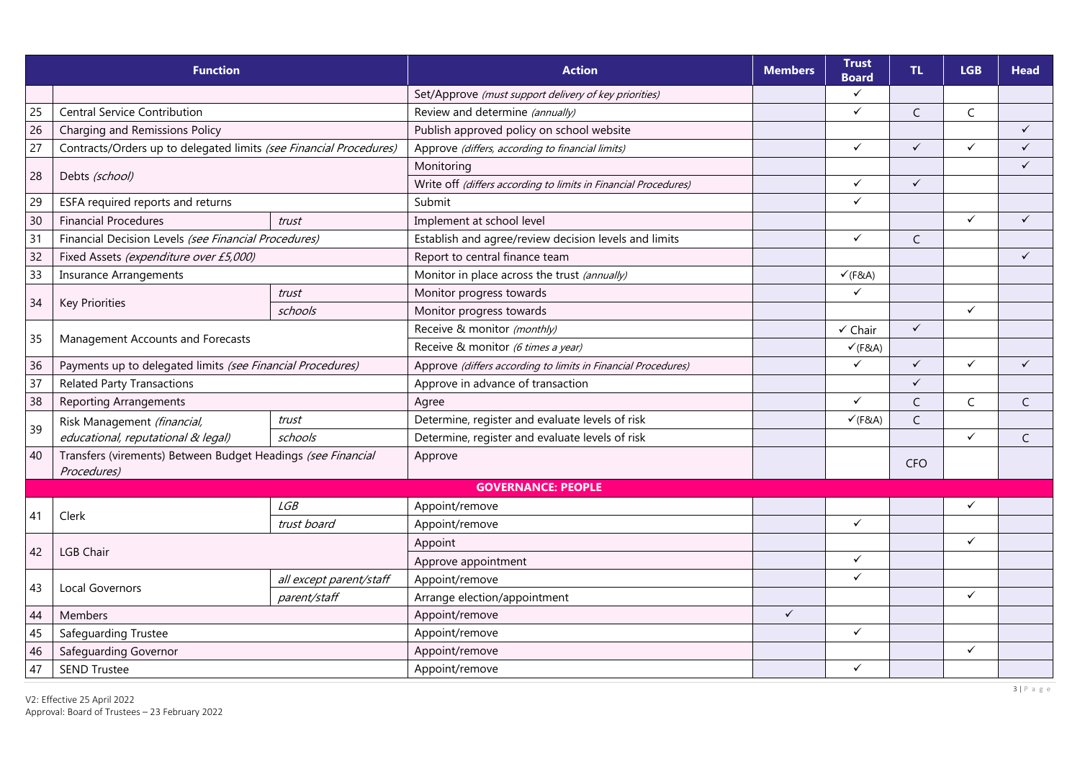|    | <b>Function</b>                                                             |                         | <b>Action</b>                                                   | <b>Members</b> | <b>Trust</b><br><b>Board</b> | TL.          | <b>LGB</b>   | <b>Head</b>  |
|----|-----------------------------------------------------------------------------|-------------------------|-----------------------------------------------------------------|----------------|------------------------------|--------------|--------------|--------------|
|    |                                                                             |                         | Set/Approve (must support delivery of key priorities)           |                | ✓                            |              |              |              |
| 25 | <b>Central Service Contribution</b>                                         |                         | Review and determine (annually)                                 |                | $\checkmark$                 | $\mathsf{C}$ | $\mathsf{C}$ |              |
| 26 | Charging and Remissions Policy                                              |                         | Publish approved policy on school website                       |                |                              |              |              | $\checkmark$ |
| 27 | Contracts/Orders up to delegated limits (see Financial Procedures)          |                         | Approve (differs, according to financial limits)                |                | $\checkmark$                 | ✓            | ✓            | $\checkmark$ |
|    |                                                                             |                         | Monitoring                                                      |                |                              |              |              | $\checkmark$ |
| 28 | Debts (school)                                                              |                         | Write off (differs according to limits in Financial Procedures) |                | $\checkmark$                 | $\checkmark$ |              |              |
| 29 | ESFA required reports and returns                                           |                         | Submit                                                          |                | $\checkmark$                 |              |              |              |
| 30 | <b>Financial Procedures</b><br>trust                                        |                         | Implement at school level                                       |                |                              |              | $\checkmark$ | $\checkmark$ |
| 31 | Financial Decision Levels (see Financial Procedures)                        |                         | Establish and agree/review decision levels and limits           |                | $\checkmark$                 | $\mathsf{C}$ |              |              |
| 32 | Fixed Assets (expenditure over £5,000)                                      |                         | Report to central finance team                                  |                |                              |              |              | $\checkmark$ |
| 33 | <b>Insurance Arrangements</b>                                               |                         | Monitor in place across the trust (annually)                    |                | $V$ (F&A)                    |              |              |              |
|    |                                                                             | trust                   | Monitor progress towards                                        |                | $\checkmark$                 |              |              |              |
| 34 | <b>Key Priorities</b>                                                       | schools                 | Monitor progress towards                                        |                |                              |              | $\checkmark$ |              |
|    |                                                                             |                         | Receive & monitor (monthly)                                     |                | $\checkmark$ Chair           | $\checkmark$ |              |              |
| 35 | Management Accounts and Forecasts                                           |                         | Receive & monitor (6 times a year)                              |                | $\checkmark$ (F&A)           |              |              |              |
| 36 | Payments up to delegated limits (see Financial Procedures)                  |                         | Approve (differs according to limits in Financial Procedures)   |                | $\checkmark$                 | $\checkmark$ | $\checkmark$ | $\checkmark$ |
| 37 | <b>Related Party Transactions</b>                                           |                         | Approve in advance of transaction                               |                |                              | $\checkmark$ |              |              |
| 38 | <b>Reporting Arrangements</b>                                               |                         | Agree                                                           |                | $\checkmark$                 | $\mathsf{C}$ | $\mathsf{C}$ | $\mathsf{C}$ |
|    | Risk Management (financial,                                                 | trust                   | Determine, register and evaluate levels of risk                 |                | $V$ (F&A)                    | $\mathsf{C}$ |              |              |
| 39 | educational, reputational & legal)                                          | schools                 | Determine, register and evaluate levels of risk                 |                |                              |              | $\checkmark$ | C            |
| 40 | Transfers (virements) Between Budget Headings (see Financial<br>Procedures) |                         | Approve                                                         |                |                              | <b>CFO</b>   |              |              |
|    |                                                                             |                         | <b>GOVERNANCE: PEOPLE</b>                                       |                |                              |              |              |              |
|    |                                                                             | <b>LGB</b>              | Appoint/remove                                                  |                |                              |              | $\checkmark$ |              |
| 41 | Clerk                                                                       | trust board             | Appoint/remove                                                  |                | $\checkmark$                 |              |              |              |
|    |                                                                             |                         | Appoint                                                         |                |                              |              | $\checkmark$ |              |
| 42 | <b>LGB Chair</b>                                                            |                         | Approve appointment                                             |                | $\checkmark$                 |              |              |              |
|    |                                                                             | all except parent/staff | Appoint/remove                                                  |                | $\checkmark$                 |              |              |              |
| 43 | <b>Local Governors</b>                                                      | parent/staff            | Arrange election/appointment                                    |                |                              |              | $\checkmark$ |              |
| 44 | Members                                                                     |                         | Appoint/remove                                                  | $\checkmark$   |                              |              |              |              |
| 45 | Safeguarding Trustee                                                        |                         | Appoint/remove                                                  |                | $\checkmark$                 |              |              |              |
| 46 | Safeguarding Governor                                                       |                         | Appoint/remove                                                  |                |                              |              | $\checkmark$ |              |
| 47 | <b>SEND Trustee</b>                                                         |                         | Appoint/remove                                                  |                | $\checkmark$                 |              |              |              |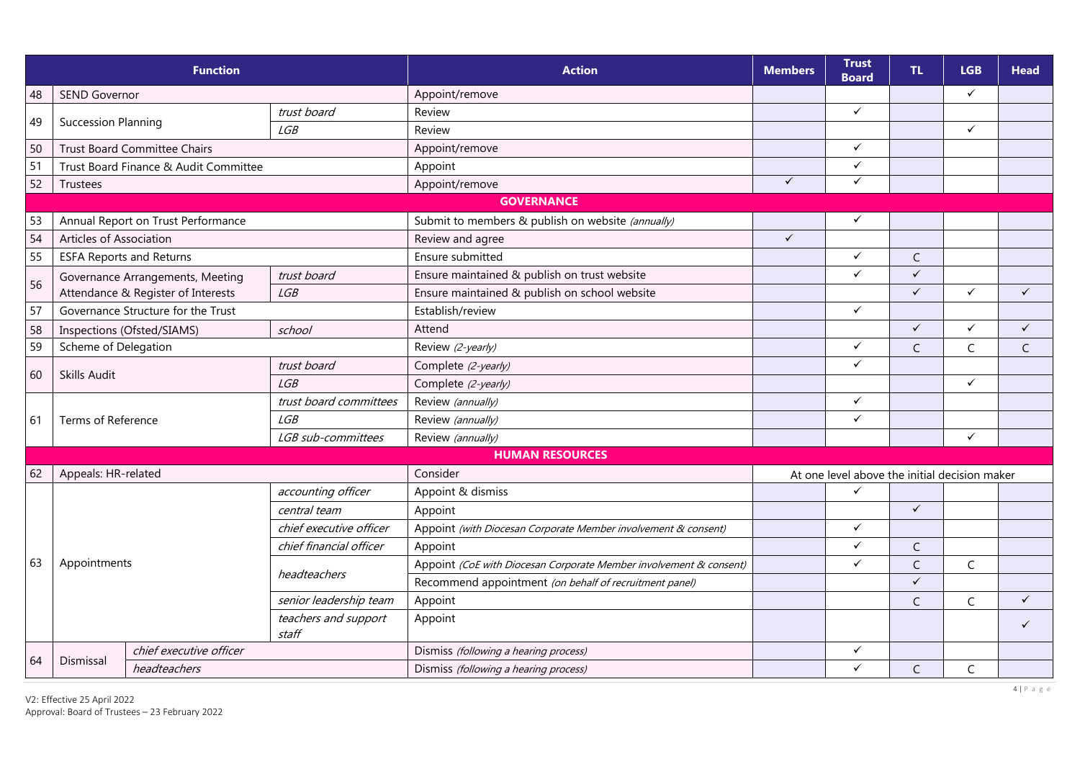| $\checkmark$<br>Appoint/remove<br><b>SEND Governor</b><br>48<br>$\checkmark$<br>trust board<br>Review<br>49<br>Succession Planning<br><b>LGB</b><br>$\checkmark$<br>Review<br>$\checkmark$<br>50<br>Appoint/remove<br>Trust Board Committee Chairs<br>51<br>$\checkmark$<br>Trust Board Finance & Audit Committee<br>Appoint<br>✓<br>$\checkmark$<br>52<br>Appoint/remove<br>Trustees<br><b>GOVERNANCE</b><br>Annual Report on Trust Performance<br>$\checkmark$<br>53<br>Submit to members & publish on website (annually)<br>54<br>$\checkmark$<br>Articles of Association<br>Review and agree<br>55<br>$\checkmark$<br><b>ESFA Reports and Returns</b><br>Ensure submitted<br>$\mathsf{C}$<br>Ensure maintained & publish on trust website<br>$\checkmark$<br>✓<br>trust board<br>Governance Arrangements, Meeting<br>56<br>Attendance & Register of Interests<br>$\checkmark$<br><b>LGB</b><br>Ensure maintained & publish on school website<br>$\checkmark$<br>$\checkmark$<br>57<br>Governance Structure for the Trust<br>Establish/review<br>$\checkmark$<br>$\checkmark$<br>58<br>Attend<br>Inspections (Ofsted/SIAMS)<br>school<br>59<br>$\checkmark$<br>Scheme of Delegation<br>Review (2-yearly)<br>$\mathsf{C}$<br>C<br>$\checkmark$<br>trust board<br>Complete (2-yearly)<br>Skills Audit<br>60<br>LGB<br>$\checkmark$<br>Complete (2-yearly)<br>$\checkmark$<br>trust board committees<br>Review (annually)<br><b>LGB</b><br>$\checkmark$<br>Review (annually)<br>Terms of Reference<br>61<br>LGB sub-committees<br>$\checkmark$<br>Review (annually)<br><b>HUMAN RESOURCES</b><br>Consider<br>62<br>Appeals: HR-related<br>At one level above the initial decision maker |  |  |  |                                              |  |  |              |  |
|-----------------------------------------------------------------------------------------------------------------------------------------------------------------------------------------------------------------------------------------------------------------------------------------------------------------------------------------------------------------------------------------------------------------------------------------------------------------------------------------------------------------------------------------------------------------------------------------------------------------------------------------------------------------------------------------------------------------------------------------------------------------------------------------------------------------------------------------------------------------------------------------------------------------------------------------------------------------------------------------------------------------------------------------------------------------------------------------------------------------------------------------------------------------------------------------------------------------------------------------------------------------------------------------------------------------------------------------------------------------------------------------------------------------------------------------------------------------------------------------------------------------------------------------------------------------------------------------------------------------------------------------------------------------------------------------|--|--|--|----------------------------------------------|--|--|--------------|--|
|                                                                                                                                                                                                                                                                                                                                                                                                                                                                                                                                                                                                                                                                                                                                                                                                                                                                                                                                                                                                                                                                                                                                                                                                                                                                                                                                                                                                                                                                                                                                                                                                                                                                                         |  |  |  |                                              |  |  |              |  |
|                                                                                                                                                                                                                                                                                                                                                                                                                                                                                                                                                                                                                                                                                                                                                                                                                                                                                                                                                                                                                                                                                                                                                                                                                                                                                                                                                                                                                                                                                                                                                                                                                                                                                         |  |  |  |                                              |  |  |              |  |
|                                                                                                                                                                                                                                                                                                                                                                                                                                                                                                                                                                                                                                                                                                                                                                                                                                                                                                                                                                                                                                                                                                                                                                                                                                                                                                                                                                                                                                                                                                                                                                                                                                                                                         |  |  |  |                                              |  |  |              |  |
|                                                                                                                                                                                                                                                                                                                                                                                                                                                                                                                                                                                                                                                                                                                                                                                                                                                                                                                                                                                                                                                                                                                                                                                                                                                                                                                                                                                                                                                                                                                                                                                                                                                                                         |  |  |  |                                              |  |  |              |  |
|                                                                                                                                                                                                                                                                                                                                                                                                                                                                                                                                                                                                                                                                                                                                                                                                                                                                                                                                                                                                                                                                                                                                                                                                                                                                                                                                                                                                                                                                                                                                                                                                                                                                                         |  |  |  |                                              |  |  |              |  |
|                                                                                                                                                                                                                                                                                                                                                                                                                                                                                                                                                                                                                                                                                                                                                                                                                                                                                                                                                                                                                                                                                                                                                                                                                                                                                                                                                                                                                                                                                                                                                                                                                                                                                         |  |  |  |                                              |  |  |              |  |
|                                                                                                                                                                                                                                                                                                                                                                                                                                                                                                                                                                                                                                                                                                                                                                                                                                                                                                                                                                                                                                                                                                                                                                                                                                                                                                                                                                                                                                                                                                                                                                                                                                                                                         |  |  |  |                                              |  |  |              |  |
|                                                                                                                                                                                                                                                                                                                                                                                                                                                                                                                                                                                                                                                                                                                                                                                                                                                                                                                                                                                                                                                                                                                                                                                                                                                                                                                                                                                                                                                                                                                                                                                                                                                                                         |  |  |  |                                              |  |  |              |  |
|                                                                                                                                                                                                                                                                                                                                                                                                                                                                                                                                                                                                                                                                                                                                                                                                                                                                                                                                                                                                                                                                                                                                                                                                                                                                                                                                                                                                                                                                                                                                                                                                                                                                                         |  |  |  |                                              |  |  |              |  |
|                                                                                                                                                                                                                                                                                                                                                                                                                                                                                                                                                                                                                                                                                                                                                                                                                                                                                                                                                                                                                                                                                                                                                                                                                                                                                                                                                                                                                                                                                                                                                                                                                                                                                         |  |  |  |                                              |  |  |              |  |
|                                                                                                                                                                                                                                                                                                                                                                                                                                                                                                                                                                                                                                                                                                                                                                                                                                                                                                                                                                                                                                                                                                                                                                                                                                                                                                                                                                                                                                                                                                                                                                                                                                                                                         |  |  |  |                                              |  |  |              |  |
|                                                                                                                                                                                                                                                                                                                                                                                                                                                                                                                                                                                                                                                                                                                                                                                                                                                                                                                                                                                                                                                                                                                                                                                                                                                                                                                                                                                                                                                                                                                                                                                                                                                                                         |  |  |  |                                              |  |  | $\checkmark$ |  |
|                                                                                                                                                                                                                                                                                                                                                                                                                                                                                                                                                                                                                                                                                                                                                                                                                                                                                                                                                                                                                                                                                                                                                                                                                                                                                                                                                                                                                                                                                                                                                                                                                                                                                         |  |  |  |                                              |  |  |              |  |
|                                                                                                                                                                                                                                                                                                                                                                                                                                                                                                                                                                                                                                                                                                                                                                                                                                                                                                                                                                                                                                                                                                                                                                                                                                                                                                                                                                                                                                                                                                                                                                                                                                                                                         |  |  |  |                                              |  |  | $\checkmark$ |  |
|                                                                                                                                                                                                                                                                                                                                                                                                                                                                                                                                                                                                                                                                                                                                                                                                                                                                                                                                                                                                                                                                                                                                                                                                                                                                                                                                                                                                                                                                                                                                                                                                                                                                                         |  |  |  |                                              |  |  | C            |  |
|                                                                                                                                                                                                                                                                                                                                                                                                                                                                                                                                                                                                                                                                                                                                                                                                                                                                                                                                                                                                                                                                                                                                                                                                                                                                                                                                                                                                                                                                                                                                                                                                                                                                                         |  |  |  |                                              |  |  |              |  |
|                                                                                                                                                                                                                                                                                                                                                                                                                                                                                                                                                                                                                                                                                                                                                                                                                                                                                                                                                                                                                                                                                                                                                                                                                                                                                                                                                                                                                                                                                                                                                                                                                                                                                         |  |  |  |                                              |  |  |              |  |
|                                                                                                                                                                                                                                                                                                                                                                                                                                                                                                                                                                                                                                                                                                                                                                                                                                                                                                                                                                                                                                                                                                                                                                                                                                                                                                                                                                                                                                                                                                                                                                                                                                                                                         |  |  |  |                                              |  |  |              |  |
|                                                                                                                                                                                                                                                                                                                                                                                                                                                                                                                                                                                                                                                                                                                                                                                                                                                                                                                                                                                                                                                                                                                                                                                                                                                                                                                                                                                                                                                                                                                                                                                                                                                                                         |  |  |  |                                              |  |  |              |  |
|                                                                                                                                                                                                                                                                                                                                                                                                                                                                                                                                                                                                                                                                                                                                                                                                                                                                                                                                                                                                                                                                                                                                                                                                                                                                                                                                                                                                                                                                                                                                                                                                                                                                                         |  |  |  |                                              |  |  |              |  |
|                                                                                                                                                                                                                                                                                                                                                                                                                                                                                                                                                                                                                                                                                                                                                                                                                                                                                                                                                                                                                                                                                                                                                                                                                                                                                                                                                                                                                                                                                                                                                                                                                                                                                         |  |  |  |                                              |  |  |              |  |
|                                                                                                                                                                                                                                                                                                                                                                                                                                                                                                                                                                                                                                                                                                                                                                                                                                                                                                                                                                                                                                                                                                                                                                                                                                                                                                                                                                                                                                                                                                                                                                                                                                                                                         |  |  |  | $\checkmark$<br>$\checkmark$<br>$\checkmark$ |  |  |              |  |
| accounting officer<br>Appoint & dismiss                                                                                                                                                                                                                                                                                                                                                                                                                                                                                                                                                                                                                                                                                                                                                                                                                                                                                                                                                                                                                                                                                                                                                                                                                                                                                                                                                                                                                                                                                                                                                                                                                                                 |  |  |  |                                              |  |  |              |  |
| central team<br>Appoint                                                                                                                                                                                                                                                                                                                                                                                                                                                                                                                                                                                                                                                                                                                                                                                                                                                                                                                                                                                                                                                                                                                                                                                                                                                                                                                                                                                                                                                                                                                                                                                                                                                                 |  |  |  |                                              |  |  |              |  |
| chief executive officer<br>Appoint (with Diocesan Corporate Member involvement & consent)                                                                                                                                                                                                                                                                                                                                                                                                                                                                                                                                                                                                                                                                                                                                                                                                                                                                                                                                                                                                                                                                                                                                                                                                                                                                                                                                                                                                                                                                                                                                                                                               |  |  |  |                                              |  |  |              |  |
| $\checkmark$<br>chief financial officer<br>$\mathsf{C}$<br>Appoint                                                                                                                                                                                                                                                                                                                                                                                                                                                                                                                                                                                                                                                                                                                                                                                                                                                                                                                                                                                                                                                                                                                                                                                                                                                                                                                                                                                                                                                                                                                                                                                                                      |  |  |  |                                              |  |  |              |  |
| Appointments<br>✓<br>63<br>Appoint (CoE with Diocesan Corporate Member involvement & consent)<br>C<br>C                                                                                                                                                                                                                                                                                                                                                                                                                                                                                                                                                                                                                                                                                                                                                                                                                                                                                                                                                                                                                                                                                                                                                                                                                                                                                                                                                                                                                                                                                                                                                                                 |  |  |  |                                              |  |  |              |  |
| headteachers<br>$\checkmark$<br>Recommend appointment (on behalf of recruitment panel)                                                                                                                                                                                                                                                                                                                                                                                                                                                                                                                                                                                                                                                                                                                                                                                                                                                                                                                                                                                                                                                                                                                                                                                                                                                                                                                                                                                                                                                                                                                                                                                                  |  |  |  |                                              |  |  |              |  |
| senior leadership team<br>Appoint<br>$\mathsf{C}$<br>$\mathsf{C}$                                                                                                                                                                                                                                                                                                                                                                                                                                                                                                                                                                                                                                                                                                                                                                                                                                                                                                                                                                                                                                                                                                                                                                                                                                                                                                                                                                                                                                                                                                                                                                                                                       |  |  |  |                                              |  |  | $\checkmark$ |  |
| teachers and support<br>Appoint<br>staff                                                                                                                                                                                                                                                                                                                                                                                                                                                                                                                                                                                                                                                                                                                                                                                                                                                                                                                                                                                                                                                                                                                                                                                                                                                                                                                                                                                                                                                                                                                                                                                                                                                |  |  |  |                                              |  |  | ✓            |  |
| chief executive officer<br>$\checkmark$<br>Dismiss (following a hearing process)                                                                                                                                                                                                                                                                                                                                                                                                                                                                                                                                                                                                                                                                                                                                                                                                                                                                                                                                                                                                                                                                                                                                                                                                                                                                                                                                                                                                                                                                                                                                                                                                        |  |  |  |                                              |  |  |              |  |
| 64<br>Dismissal<br>$\checkmark$<br>headteachers<br>Dismiss (following a hearing process)<br>C<br>C                                                                                                                                                                                                                                                                                                                                                                                                                                                                                                                                                                                                                                                                                                                                                                                                                                                                                                                                                                                                                                                                                                                                                                                                                                                                                                                                                                                                                                                                                                                                                                                      |  |  |  |                                              |  |  |              |  |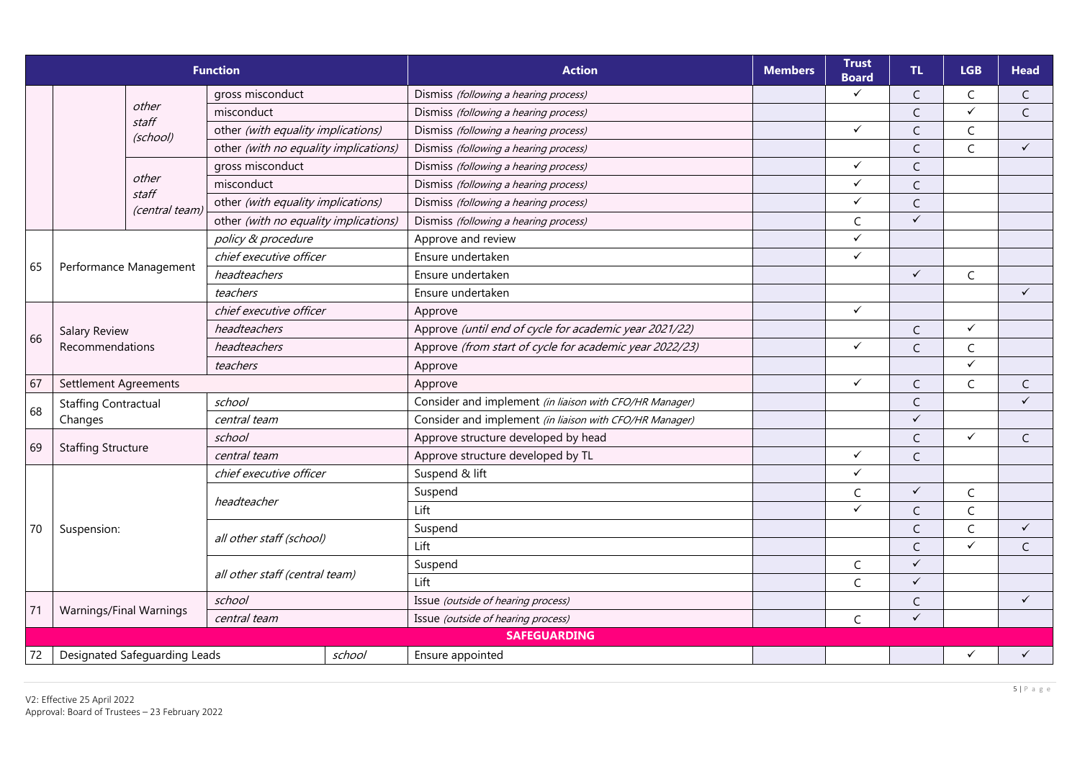|                                  |                               |                                       | <b>Function</b>                       |        | <b>Action</b>                                           | <b>Members</b> | <b>Trust</b><br><b>Board</b> | TL.                                                                                                               | <b>LGB</b>                                                                                                                      | <b>Head</b>  |
|----------------------------------|-------------------------------|---------------------------------------|---------------------------------------|--------|---------------------------------------------------------|----------------|------------------------------|-------------------------------------------------------------------------------------------------------------------|---------------------------------------------------------------------------------------------------------------------------------|--------------|
|                                  |                               |                                       | gross misconduct                      |        | Dismiss (following a hearing process)                   |                | ✓                            | $\mathsf{C}$                                                                                                      | C                                                                                                                               | $\mathsf{C}$ |
|                                  |                               | other<br>staff                        | misconduct                            |        | Dismiss (following a hearing process)                   |                |                              | $\mathsf C$                                                                                                       | $\checkmark$                                                                                                                    | $\mathsf C$  |
|                                  |                               | (school)                              | other (with equality implications)    |        | Dismiss (following a hearing process)                   |                | $\checkmark$                 | C                                                                                                                 | C                                                                                                                               |              |
|                                  |                               |                                       | other (with no equality implications) |        | Dismiss (following a hearing process)                   |                |                              | C                                                                                                                 | $\mathsf{C}$                                                                                                                    | $\checkmark$ |
|                                  |                               |                                       | gross misconduct                      |        | Dismiss (following a hearing process)                   |                | $\checkmark$                 | $\mathsf{C}$                                                                                                      |                                                                                                                                 |              |
|                                  | other                         |                                       | misconduct                            |        | Dismiss (following a hearing process)                   |                | $\checkmark$                 | $\mathsf{C}$                                                                                                      |                                                                                                                                 |              |
|                                  |                               | staff<br>(central team)               | other (with equality implications)    |        | Dismiss (following a hearing process)                   |                | $\checkmark$                 | $\mathsf{C}$                                                                                                      |                                                                                                                                 |              |
|                                  |                               |                                       | other (with no equality implications) |        | Dismiss (following a hearing process)                   |                | C                            | $\checkmark$                                                                                                      |                                                                                                                                 |              |
|                                  |                               |                                       | policy & procedure                    |        | Approve and review                                      |                | $\checkmark$                 |                                                                                                                   |                                                                                                                                 |              |
|                                  |                               |                                       | chief executive officer               |        | Ensure undertaken                                       |                | $\checkmark$                 |                                                                                                                   |                                                                                                                                 |              |
|                                  | Performance Management        |                                       | headteachers                          |        | Ensure undertaken                                       |                |                              | $\checkmark$                                                                                                      | $\mathsf{C}$                                                                                                                    |              |
|                                  |                               |                                       | teachers                              |        | Ensure undertaken                                       |                |                              |                                                                                                                   |                                                                                                                                 | $\checkmark$ |
|                                  | headteachers<br>Salary Review |                                       | chief executive officer               |        | Approve                                                 |                | $\checkmark$                 |                                                                                                                   |                                                                                                                                 |              |
| 66                               |                               |                                       |                                       |        | Approve (until end of cycle for academic year 2021/22)  |                |                              | $\mathsf{C}$                                                                                                      | $\checkmark$                                                                                                                    |              |
|                                  | Recommendations               |                                       | headteachers                          |        | Approve (from start of cycle for academic year 2022/23) |                | $\checkmark$                 | $\mathsf{C}$                                                                                                      | C                                                                                                                               |              |
|                                  |                               | teachers                              |                                       |        | Approve                                                 |                |                              |                                                                                                                   | $\checkmark$                                                                                                                    |              |
| 67                               | Settlement Agreements         |                                       |                                       |        | Approve                                                 |                | $\checkmark$                 | $\mathsf{C}$                                                                                                      | $\mathsf{C}$                                                                                                                    | $\mathsf{C}$ |
|                                  |                               | school<br><b>Staffing Contractual</b> |                                       |        | Consider and implement (in liaison with CFO/HR Manager) |                |                              | $\mathsf{C}$                                                                                                      |                                                                                                                                 | $\checkmark$ |
|                                  | Changes                       |                                       | central team                          |        | Consider and implement (in liaison with CFO/HR Manager) |                |                              | $\checkmark$                                                                                                      |                                                                                                                                 |              |
|                                  |                               |                                       | school                                |        | Approve structure developed by head                     |                |                              | $\mathsf{C}$                                                                                                      | $\checkmark$<br>$\mathsf{C}$<br>$\mathsf C$<br>$\mathsf C$<br>$\checkmark$<br>$\mathsf{C}$<br>$\checkmark$<br>C<br>$\checkmark$ |              |
|                                  | <b>Staffing Structure</b>     |                                       | central team                          |        | Approve structure developed by TL                       |                | $\checkmark$                 | $\mathsf{C}$                                                                                                      |                                                                                                                                 |              |
| 65<br>68<br>69<br>70<br>71<br>72 |                               |                                       | chief executive officer               |        | Suspend & lift                                          |                | $\checkmark$                 | $\checkmark$<br>$\mathsf{C}$<br>$\mathsf{C}$<br>$\mathsf{C}$<br>$\checkmark$<br>$\checkmark$<br>C<br>$\checkmark$ |                                                                                                                                 |              |
|                                  |                               | headteacher                           |                                       |        | Suspend                                                 |                | $\mathsf C$                  |                                                                                                                   |                                                                                                                                 |              |
|                                  |                               |                                       |                                       |        | Lift                                                    |                | $\checkmark$                 |                                                                                                                   |                                                                                                                                 |              |
|                                  | Suspension:                   |                                       |                                       |        | Suspend                                                 |                |                              |                                                                                                                   |                                                                                                                                 |              |
|                                  |                               |                                       | all other staff (school)              |        | Lift                                                    |                |                              |                                                                                                                   |                                                                                                                                 |              |
|                                  |                               |                                       |                                       |        | Suspend                                                 |                | $\mathsf C$                  |                                                                                                                   |                                                                                                                                 |              |
|                                  |                               |                                       | all other staff (central team)        |        | Lift                                                    |                | C                            |                                                                                                                   |                                                                                                                                 |              |
|                                  |                               |                                       | school                                |        | Issue (outside of hearing process)                      |                |                              |                                                                                                                   |                                                                                                                                 |              |
|                                  | Warnings/Final Warnings       |                                       | central team                          |        | Issue (outside of hearing process)                      |                | C                            |                                                                                                                   |                                                                                                                                 |              |
|                                  |                               |                                       |                                       |        | <b>SAFEGUARDING</b>                                     |                |                              |                                                                                                                   |                                                                                                                                 |              |
|                                  |                               | Designated Safeguarding Leads         |                                       | school | Ensure appointed                                        |                |                              |                                                                                                                   |                                                                                                                                 |              |